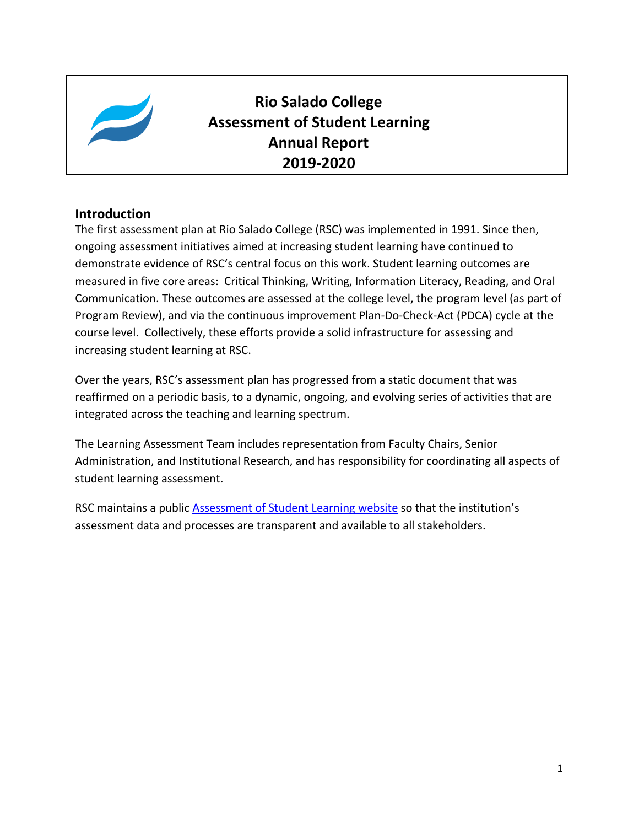

# **Rio Salado College Assessment of Student Learning Annual Report 2019-2020**

### **Introduction**

The first assessment plan at Rio Salado College (RSC) was implemented in 1991. Since then, ongoing assessment initiatives aimed at increasing student learning have continued to demonstrate evidence of RSC's central focus on this work. Student learning outcomes are measured in five core areas: Critical Thinking, Writing, Information Literacy, Reading, and Oral Communication. These outcomes are assessed at the college level, the program level (as part of Program Review), and via the continuous improvement Plan-Do-Check-Act (PDCA) cycle at the course level. Collectively, these efforts provide a solid infrastructure for assessing and increasing student learning at RSC.

Over the years, RSC's assessment plan has progressed from a static document that was reaffirmed on a periodic basis, to a dynamic, ongoing, and evolving series of activities that are integrated across the teaching and learning spectrum.

The Learning Assessment Team includes representation from Faculty Chairs, Senior Administration, and Institutional Research, and has responsibility for coordinating all aspects of student learning assessment.

RSC maintains a public **Assessment of Student Learning website** so that the institution's assessment data and processes are transparent and available to all stakeholders.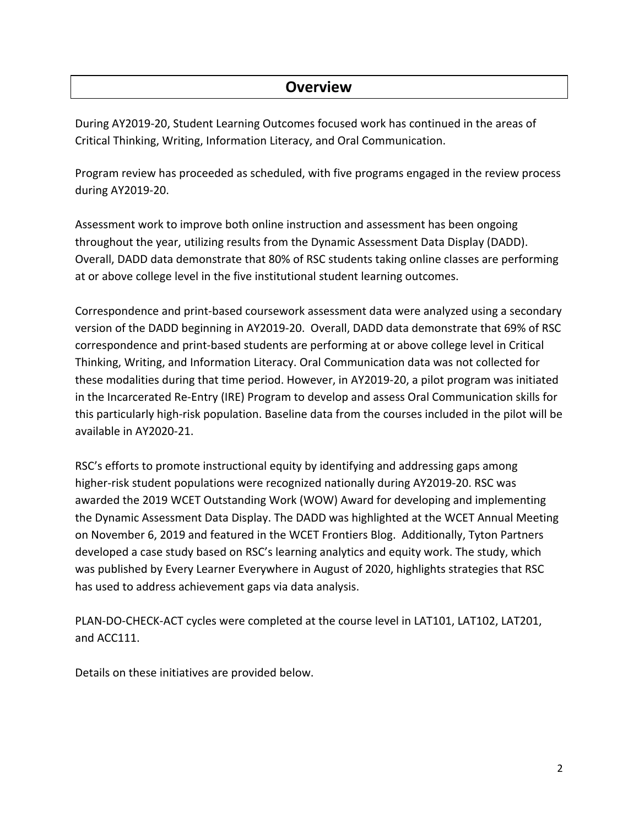## **Overview**

During AY2019-20, Student Learning Outcomes focused work has continued in the areas of Critical Thinking, Writing, Information Literacy, and Oral Communication.

Program review has proceeded as scheduled, with five programs engaged in the review process during AY2019-20.

Assessment work to improve both online instruction and assessment has been ongoing throughout the year, utilizing results from the Dynamic Assessment Data Display (DADD). Overall, DADD data demonstrate that 80% of RSC students taking online classes are performing at or above college level in the five institutional student learning outcomes.

Correspondence and print-based coursework assessment data were analyzed using a secondary version of the DADD beginning in AY2019-20. Overall, DADD data demonstrate that 69% of RSC correspondence and print-based students are performing at or above college level in Critical Thinking, Writing, and Information Literacy. Oral Communication data was not collected for these modalities during that time period. However, in AY2019-20, a pilot program was initiated in the Incarcerated Re-Entry (IRE) Program to develop and assess Oral Communication skills for this particularly high-risk population. Baseline data from the courses included in the pilot will be available in AY2020-21.

RSC's efforts to promote instructional equity by identifying and addressing gaps among higher-risk student populations were recognized nationally during AY2019-20. RSC was awarded the 2019 WCET Outstanding Work (WOW) Award for developing and implementing the Dynamic Assessment Data Display. The DADD was highlighted at the WCET Annual Meeting on November 6, 2019 and featured in the WCET Frontiers Blog. Additionally, Tyton Partners developed a case study based on RSC's learning analytics and equity work. The study, which was published by Every Learner Everywhere in August of 2020, highlights strategies that RSC has used to address achievement gaps via data analysis.

PLAN-DO-CHECK-ACT cycles were completed at the course level in LAT101, LAT102, LAT201, and ACC111.

Details on these initiatives are provided below.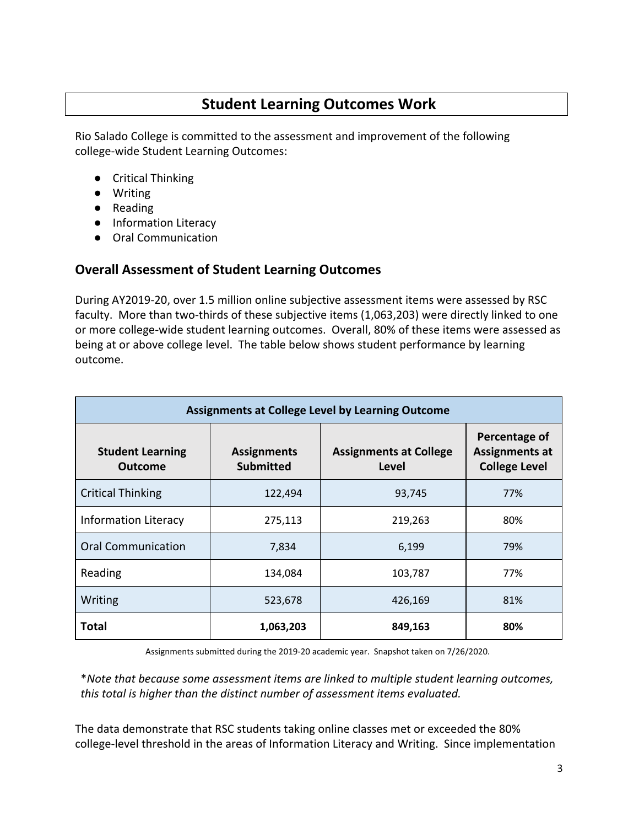## **Student Learning Outcomes Work**

Rio Salado College is committed to the assessment and improvement of the following college-wide Student Learning Outcomes:

- Critical Thinking
- Writing
- Reading
- Information Literacy
- Oral Communication

### **Overall Assessment of Student Learning Outcomes**

During AY2019-20, over 1.5 million online subjective assessment items were assessed by RSC faculty. More than two-thirds of these subjective items (1,063,203) were directly linked to one or more college-wide student learning outcomes. Overall, 80% of these items were assessed as being at or above college level. The table below shows student performance by learning outcome.

| <b>Assignments at College Level by Learning Outcome</b> |                                        |                                        |                                                                |  |  |  |  |
|---------------------------------------------------------|----------------------------------------|----------------------------------------|----------------------------------------------------------------|--|--|--|--|
| <b>Student Learning</b><br><b>Outcome</b>               | <b>Assignments</b><br><b>Submitted</b> | <b>Assignments at College</b><br>Level | Percentage of<br><b>Assignments at</b><br><b>College Level</b> |  |  |  |  |
| <b>Critical Thinking</b>                                | 122,494                                | 93,745                                 | 77%                                                            |  |  |  |  |
| <b>Information Literacy</b>                             | 275,113                                | 219,263                                | 80%                                                            |  |  |  |  |
| <b>Oral Communication</b>                               | 7,834                                  | 6,199                                  | 79%                                                            |  |  |  |  |
| Reading                                                 | 134,084                                | 103,787                                | 77%                                                            |  |  |  |  |
| Writing<br>523,678                                      |                                        | 426,169                                | 81%                                                            |  |  |  |  |
| <b>Total</b>                                            | 1,063,203                              | 849,163                                | 80%                                                            |  |  |  |  |

Assignments submitted during the 2019-20 academic year. Snapshot taken on 7/26/2020.

\**Note that because some assessment items are linked to multiple student learning outcomes, this total is higher than the distinct number of assessment items evaluated.*

The data demonstrate that RSC students taking online classes met or exceeded the 80% college-level threshold in the areas of Information Literacy and Writing. Since implementation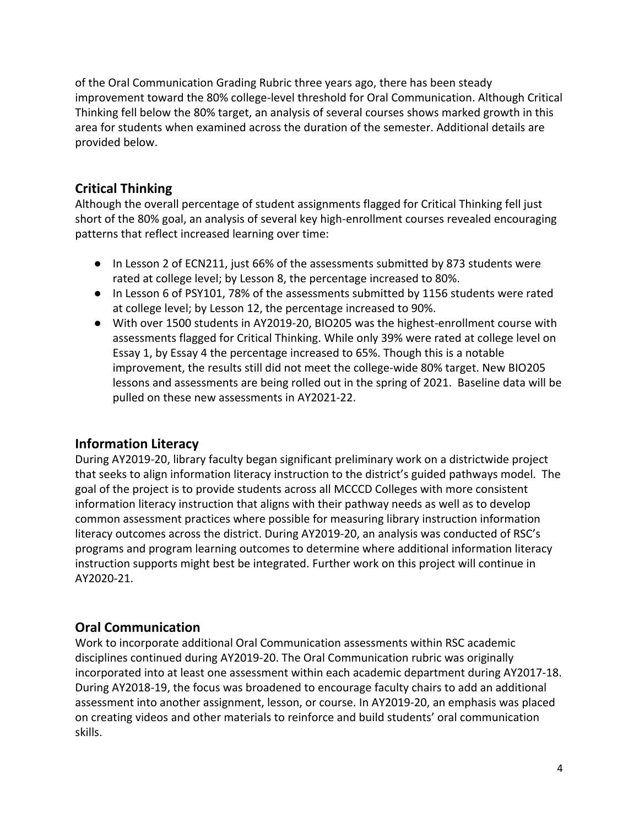of the Oral Communication Grading Rubric three years ago, there has been steady improvement toward the 80% college-level threshold for Oral Communication. Although Critical Thinking fell below the 80% target, an analysis of several courses shows marked growth in this area for students when examined across the duration of the semester. Additional details are provided below.

### **Critical Thinking**

Although the overall percentage of student assignments flagged for Critical Thinking fell just short of the 80% goal, an analysis of several key high-enrollment courses revealed encouraging patterns that reflect increased learning over time:

- In Lesson 2 of ECN211, just 66% of the assessments submitted by 873 students were rated at college level; by Lesson 8, the percentage increased to 80%.
- In Lesson 6 of PSY101, 78% of the assessments submitted by 1156 students were rated at college level; by Lesson 12, the percentage increased to 90%.
- With over 1500 students in AY2019-20, BIO205 was the highest-enrollment course with assessments flagged for Critical Thinking. While only 39% were rated at college level on Essay 1, by Essay 4 the percentage increased to 65%. Though this is a notable improvement, the results still did not meet the college-wide 80% target. New BIO205 lessons and assessments are being rolled out in the spring of 2021. Baseline data will be pulled on these new assessments in AY2021-22.

## **Information Literacy**

During AY2019-20, library faculty began significant preliminary work on a districtwide project that seeks to align information literacy instruction to the district's guided pathways model. The goal of the project is to provide students across all MCCCD Colleges with more consistent information literacy instruction that aligns with their pathway needs as well as to develop common assessment practices where possible for measuring library instruction information literacy outcomes across the district. During AY2019-20, an analysis was conducted of RSC's programs and program learning outcomes to determine where additional information literacy instruction supports might best be integrated. Further work on this project will continue in AY2020-21.

### **Oral Communication**

Work to incorporate additional Oral Communication assessments within RSC academic disciplines continued during AY2019-20. The Oral Communication rubric was originally incorporated into at least one assessment within each academic department during AY2017-18. During AY2018-19, the focus was broadened to encourage faculty chairs to add an additional assessment into another assignment, lesson, or course. In AY2019-20, an emphasis was placed on creating videos and other materials to reinforce and build students' oral communication skills.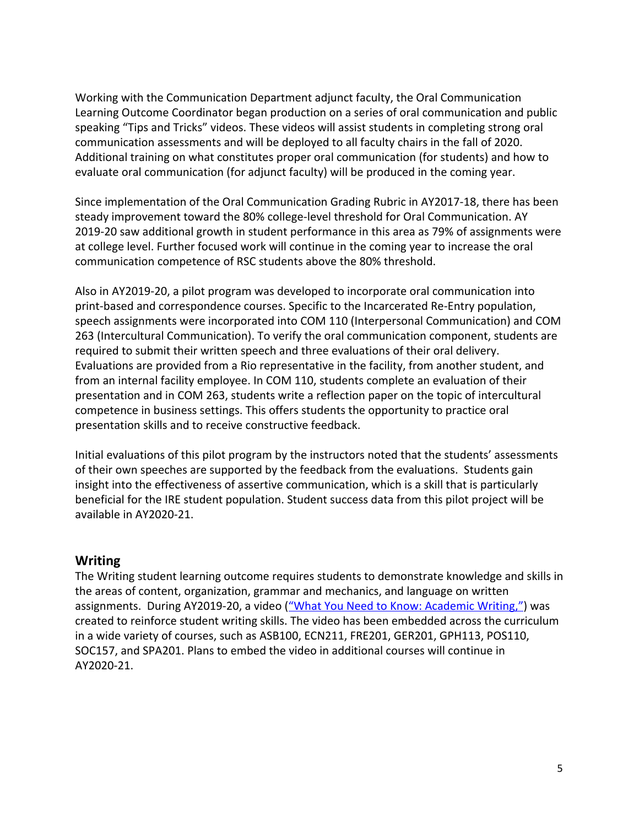Working with the Communication Department adjunct faculty, the Oral Communication Learning Outcome Coordinator began production on a series of oral communication and public speaking "Tips and Tricks" videos. These videos will assist students in completing strong oral communication assessments and will be deployed to all faculty chairs in the fall of 2020. Additional training on what constitutes proper oral communication (for students) and how to evaluate oral communication (for adjunct faculty) will be produced in the coming year.

Since implementation of the Oral Communication Grading Rubric in AY2017-18, there has been steady improvement toward the 80% college-level threshold for Oral Communication. AY 2019-20 saw additional growth in student performance in this area as 79% of assignments were at college level. Further focused work will continue in the coming year to increase the oral communication competence of RSC students above the 80% threshold.

Also in AY2019-20, a pilot program was developed to incorporate oral communication into print-based and correspondence courses. Specific to the Incarcerated Re-Entry population, speech assignments were incorporated into COM 110 (Interpersonal Communication) and COM 263 (Intercultural Communication). To verify the oral communication component, students are required to submit their written speech and three evaluations of their oral delivery. Evaluations are provided from a Rio representative in the facility, from another student, and from an internal facility employee. In COM 110, students complete an evaluation of their presentation and in COM 263, students write a reflection paper on the topic of intercultural competence in business settings. This offers students the opportunity to practice oral presentation skills and to receive constructive feedback.

Initial evaluations of this pilot program by the instructors noted that the students' assessments of their own speeches are supported by the feedback from the evaluations. Students gain insight into the effectiveness of assertive communication, which is a skill that is particularly beneficial for the IRE student population. Student success data from this pilot project will be available in AY2020-21.

#### **Writing**

The Writing student learning outcome requires students to demonstrate knowledge and skills in the areas of content, organization, grammar and mechanics, and language on written assignments. During AY2019-20, a video (["What You Need to Know: Academic Writing,"\)](https://www.youtube.com/watch?v=eslWkLHSsuo&list=PLA10645FE8B2C8A1F&index=3&t=0s.) was created to reinforce student writing skills. The video has been embedded across the curriculum in a wide variety of courses, such as ASB100, ECN211, FRE201, GER201, GPH113, POS110, SOC157, and SPA201. Plans to embed the video in additional courses will continue in AY2020-21.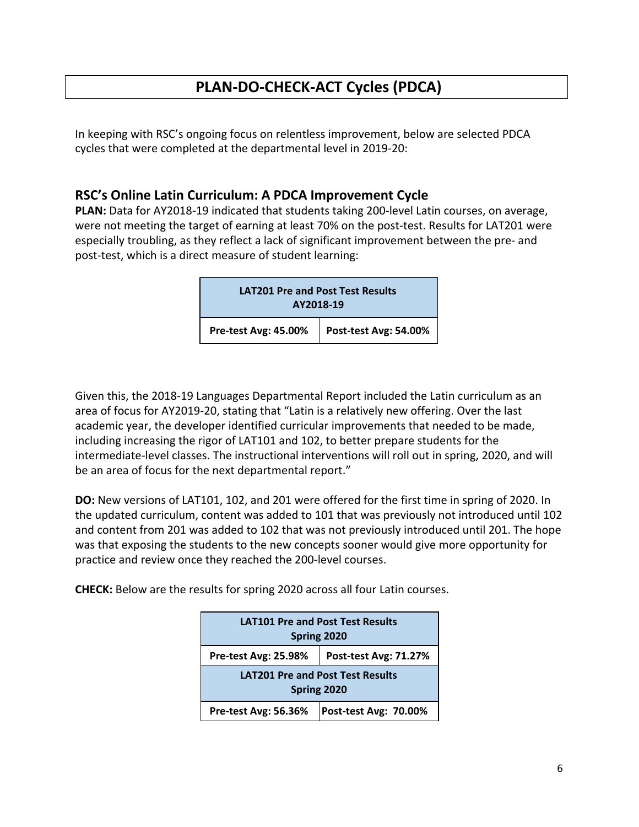# **PLAN-DO-CHECK-ACT Cycles (PDCA)**

In keeping with RSC's ongoing focus on relentless improvement, below are selected PDCA cycles that were completed at the departmental level in 2019-20:

#### **RSC's Online Latin Curriculum: A PDCA Improvement Cycle**

**PLAN:** Data for AY2018-19 indicated that students taking 200-level Latin courses, on average, were not meeting the target of earning at least 70% on the post-test. Results for LAT201 were especially troubling, as they reflect a lack of significant improvement between the pre- and post-test, which is a direct measure of student learning:

| <b>LAT201 Pre and Post Test Results</b><br>AY2018-19 |                       |
|------------------------------------------------------|-----------------------|
| Pre-test Avg: 45.00%                                 | Post-test Avg: 54.00% |

Given this, the 2018-19 Languages Departmental Report included the Latin curriculum as an area of focus for AY2019-20, stating that "Latin is a relatively new offering. Over the last academic year, the developer identified curricular improvements that needed to be made, including increasing the rigor of LAT101 and 102, to better prepare students for the intermediate-level classes. The instructional interventions will roll out in spring, 2020, and will be an area of focus for the next departmental report."

**DO:** New versions of LAT101, 102, and 201 were offered for the first time in spring of 2020. In the updated curriculum, content was added to 101 that was previously not introduced until 102 and content from 201 was added to 102 that was not previously introduced until 201. The hope was that exposing the students to the new concepts sooner would give more opportunity for practice and review once they reached the 200-level courses.

**CHECK:** Below are the results for spring 2020 across all four Latin courses.

| <b>LAT101 Pre and Post Test Results</b><br>Spring 2020 |  |  |  |  |  |
|--------------------------------------------------------|--|--|--|--|--|
| Post-test Avg: 71.27%<br>Pre-test Avg: 25.98%          |  |  |  |  |  |
| <b>LAT201 Pre and Post Test Results</b><br>Spring 2020 |  |  |  |  |  |
| Post-test Avg: 70.00%<br>Pre-test Avg: 56.36%          |  |  |  |  |  |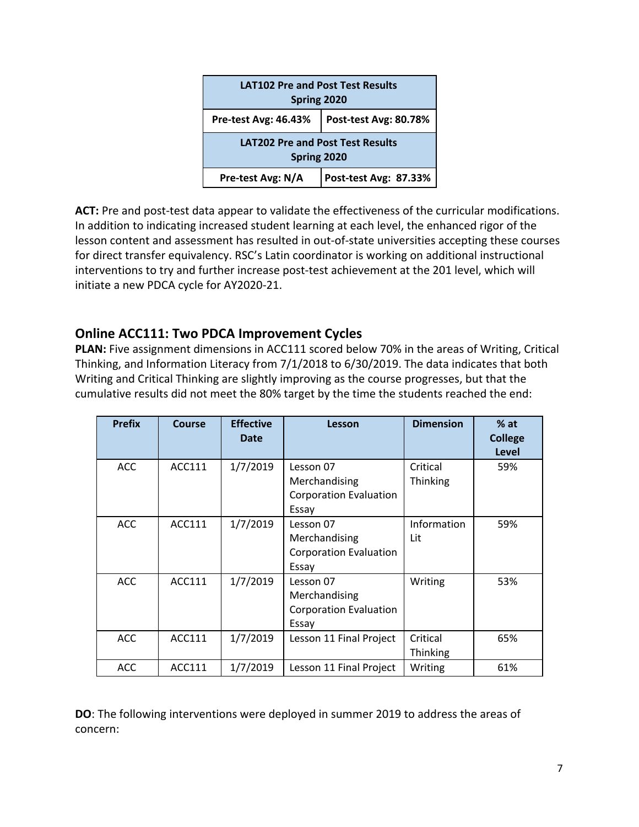| <b>LAT102 Pre and Post Test Results</b><br>Spring 2020 |  |  |  |  |  |  |
|--------------------------------------------------------|--|--|--|--|--|--|
| Post-test Avg: 80.78%<br>Pre-test Avg: 46.43%          |  |  |  |  |  |  |
| <b>LAT202 Pre and Post Test Results</b><br>Spring 2020 |  |  |  |  |  |  |
| Pre-test Avg: N/A<br>Post-test Avg: 87.33%             |  |  |  |  |  |  |

**ACT:** Pre and post-test data appear to validate the effectiveness of the curricular modifications. In addition to indicating increased student learning at each level, the enhanced rigor of the lesson content and assessment has resulted in out-of-state universities accepting these courses for direct transfer equivalency. RSC's Latin coordinator is working on additional instructional interventions to try and further increase post-test achievement at the 201 level, which will initiate a new PDCA cycle for AY2020-21.

### **Online ACC111: Two PDCA Improvement Cycles**

**PLAN:** Five assignment dimensions in ACC111 scored below 70% in the areas of Writing, Critical Thinking, and Information Literacy from 7/1/2018 to 6/30/2019. The data indicates that both Writing and Critical Thinking are slightly improving as the course progresses, but that the cumulative results did not meet the 80% target by the time the students reached the end:

| <b>Prefix</b> | Course        | <b>Effective</b><br>Date | Lesson                                                               | <b>Dimension</b>     | $%$ at<br><b>College</b><br><b>Level</b> |
|---------------|---------------|--------------------------|----------------------------------------------------------------------|----------------------|------------------------------------------|
| <b>ACC</b>    | ACC111        | 1/7/2019                 | Lesson 07<br>Merchandising<br><b>Corporation Evaluation</b><br>Essay | Critical<br>Thinking | 59%                                      |
| <b>ACC</b>    | ACC111        | 1/7/2019                 | Lesson 07<br>Merchandising<br><b>Corporation Evaluation</b><br>Essay | Information<br>Lit   | 59%                                      |
| <b>ACC</b>    | ACC111        | 1/7/2019                 | Lesson 07<br>Merchandising<br><b>Corporation Evaluation</b><br>Essay | Writing              | 53%                                      |
| <b>ACC</b>    | ACC111        | 1/7/2019                 | Lesson 11 Final Project                                              | Critical<br>Thinking | 65%                                      |
| <b>ACC</b>    | <b>ACC111</b> | 1/7/2019                 | Lesson 11 Final Project                                              | Writing              | 61%                                      |

**DO**: The following interventions were deployed in summer 2019 to address the areas of concern: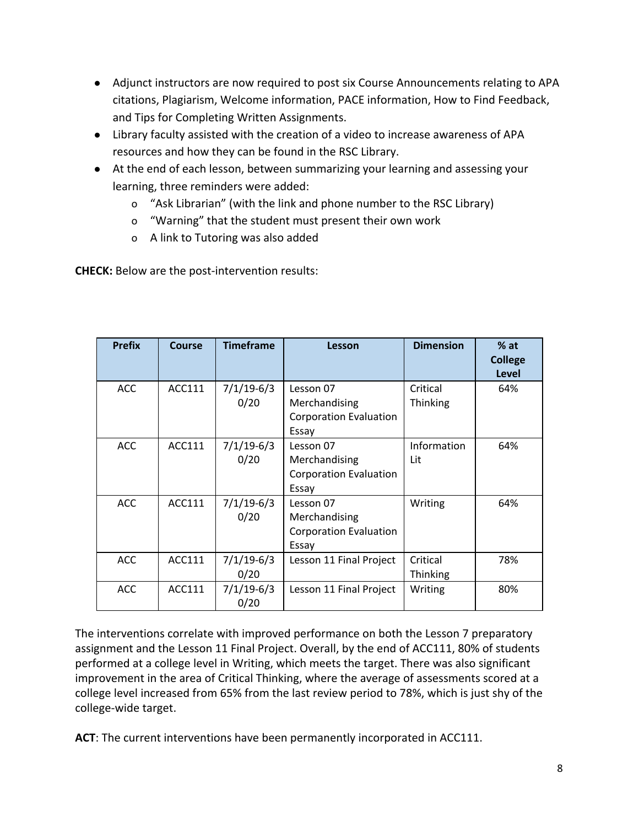- Adjunct instructors are now required to post six Course Announcements relating to APA citations, Plagiarism, Welcome information, PACE information, How to Find Feedback, and Tips for Completing Written Assignments.
- Library faculty assisted with the creation of a video to increase awareness of APA resources and how they can be found in the RSC Library.
- At the end of each lesson, between summarizing your learning and assessing your learning, three reminders were added:
	- o "Ask Librarian" (with the link and phone number to the RSC Library)
	- o "Warning" that the student must present their own work
	- o A link to Tutoring was also added

**CHECK:** Below are the post-intervention results:

| <b>Prefix</b> | <b>Course</b> | <b>Timeframe</b>     | Lesson                                                               | <b>Dimension</b>     | $%$ at<br><b>College</b><br><b>Level</b> |
|---------------|---------------|----------------------|----------------------------------------------------------------------|----------------------|------------------------------------------|
| <b>ACC</b>    | ACC111        | $7/1/19-6/3$<br>0/20 | Lesson 07<br>Merchandising<br><b>Corporation Evaluation</b><br>Essay | Critical<br>Thinking | 64%                                      |
| <b>ACC</b>    | ACC111        | $7/1/19-6/3$<br>0/20 | Lesson 07<br>Merchandising<br><b>Corporation Evaluation</b><br>Essay | Information<br>Lit   | 64%                                      |
| <b>ACC</b>    | ACC111        | $7/1/19-6/3$<br>0/20 | Lesson 07<br>Merchandising<br><b>Corporation Evaluation</b><br>Essay | Writing              | 64%                                      |
| <b>ACC</b>    | ACC111        | $7/1/19-6/3$<br>0/20 | Lesson 11 Final Project                                              | Critical<br>Thinking | 78%                                      |
| <b>ACC</b>    | ACC111        | $7/1/19-6/3$<br>0/20 | Lesson 11 Final Project                                              | Writing              | 80%                                      |

The interventions correlate with improved performance on both the Lesson 7 preparatory assignment and the Lesson 11 Final Project. Overall, by the end of ACC111, 80% of students performed at a college level in Writing, which meets the target. There was also significant improvement in the area of Critical Thinking, where the average of assessments scored at a college level increased from 65% from the last review period to 78%, which is just shy of the college-wide target.

**ACT**: The current interventions have been permanently incorporated in ACC111.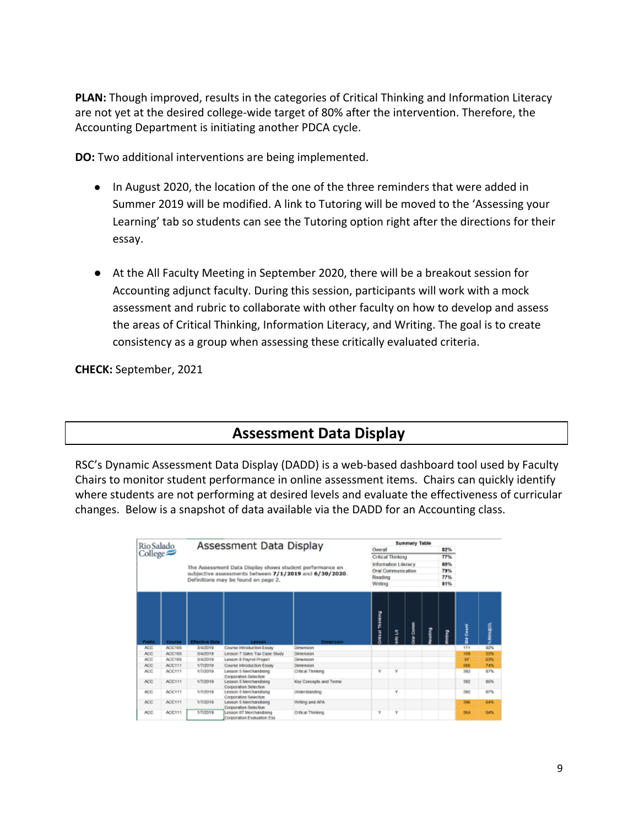**PLAN:** Though improved, results in the categories of Critical Thinking and Information Literacy are not yet at the desired college-wide target of 80% after the intervention. Therefore, the Accounting Department is initiating another PDCA cycle.

**DO:** Two additional interventions are being implemented.

- In August 2020, the location of the one of the three reminders that were added in Summer 2019 will be modified. A link to Tutoring will be moved to the 'Assessing your Learning' tab so students can see the Tutoring option right after the directions for their essay.
- At the All Faculty Meeting in September 2020, there will be a breakout session for Accounting adjunct faculty. During this session, participants will work with a mock assessment and rubric to collaborate with other faculty on how to develop and assess the areas of Critical Thinking, Information Literacy, and Writing. The goal is to create consistency as a group when assessing these critically evaluated criteria.

**CHECK:** September, 2021

## **Assessment Data Display**

RSC's Dynamic Assessment Data Display (DADD) is a web-based dashboard tool used by Faculty Chairs to monitor student performance in online assessment items. Chairs can quickly identify where students are not performing at desired levels and evaluate the effectiveness of curricular changes. Below is a snapshot of data available via the DADD for an Accounting class.

| Assessment Data Display<br>Rio Salado<br>$Collect \ge$ |        |                       |                                                          | <b>Summary Table</b>     |                                          |                      |     |     |     |                  |               |
|--------------------------------------------------------|--------|-----------------------|----------------------------------------------------------|--------------------------|------------------------------------------|----------------------|-----|-----|-----|------------------|---------------|
|                                                        |        |                       | Owerall                                                  |                          |                                          |                      | 82% |     |     |                  |               |
|                                                        |        |                       |                                                          | <b>Critical Thinking</b> |                                          |                      |     | 77% |     |                  |               |
|                                                        |        |                       |                                                          |                          |                                          | Information Literacy |     |     | 80% |                  |               |
|                                                        |        |                       | The Assessment Data Display shows student performance on |                          | Oral Communication<br>Reading<br>Writing |                      |     |     | 79% |                  |               |
|                                                        |        |                       | subjective assessments between 7/1/2019 and 6/30/2020.   |                          |                                          |                      |     |     | 77% |                  |               |
|                                                        |        |                       | Definitions may be found on page 2.                      |                          |                                          |                      |     |     | 81% |                  |               |
|                                                        |        |                       |                                                          |                          |                                          |                      |     |     |     |                  |               |
| <b>Prefix</b>                                          | Course | <b>Effective Date</b> | Lesson                                                   | <b>Dimension</b>         | <b>Critical Thinking</b>                 | 5                    | Į   | î   |     | <b>Std Count</b> | <b>MARKET</b> |
| <b>ACC</b>                                             | ACC105 | 3/4/2019              | Course Introduction Essay                                | Dimension                |                                          |                      |     |     |     | 111              | 92%           |
| ACC.                                                   | ACC105 | 3/4/2019              | Lesson 7 Sales Tax Case Study                            | Dimension                |                                          |                      |     |     |     | 109              | 53%           |
| ACC.                                                   | ACC105 | 3/4/2019              | Lesson & Payrol Project                                  | Dimension                |                                          |                      |     |     |     | $Q\mathcal{T}$   | 63%           |
| ACC.                                                   | ACC111 | 1/7/2019              | Course Introduction Essay                                | Dimension                |                                          |                      |     |     |     | 566              | 74%           |
| <b>ACC</b>                                             | ACC111 | 1/7/2019              | Lesson 5 Merchandising<br>Corporation Selection          | Critical Thinking        | ٧                                        | ٧                    |     |     |     | 362              | 87%           |
| ACC.                                                   | ACC111 | 1/7/2019              | Lesson 5 Merchandising<br>Corporation Selection          | Key Concepts and Terms   |                                          |                      |     |     |     | 560              | BGN.          |
| ACC.                                                   | ACC111 | 1/7/2019              | Lesson 5 Merchandising<br>Corporation Selection          | Understanding            |                                          | ٧                    |     |     |     | 382              | 87%           |
| ACC.                                                   | ACCH11 | 1/7/2010              | Lesson 6 Merchandising<br>Corporation Selection          | Writing and APA          |                                          |                      |     |     |     | 506              | 64%           |
| ACC.                                                   | ACC111 | 1/7/2019              | Lesson OT Merchandising<br>Corporation Evaluation Ess.   | Critical Thinking        | v                                        | ٧                    |     |     |     | 564              | 64%           |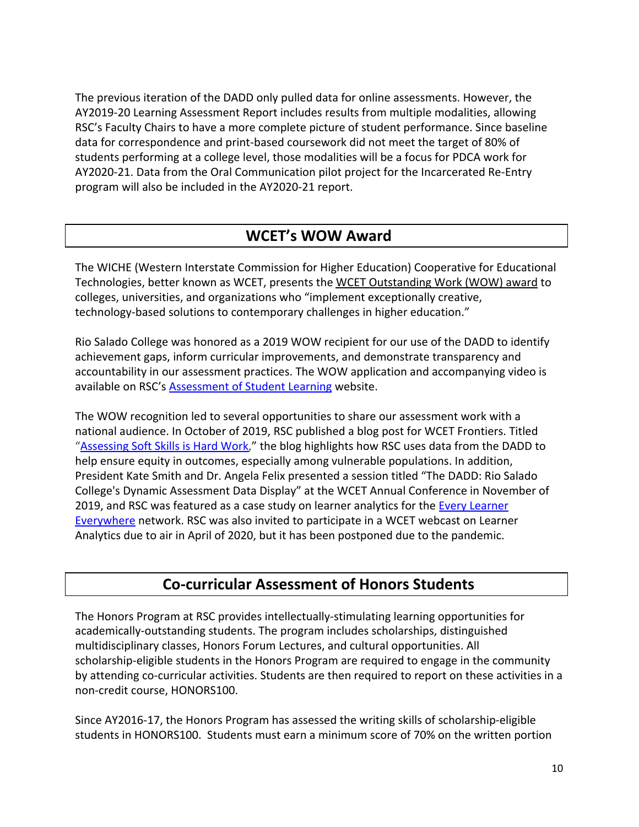The previous iteration of the DADD only pulled data for online assessments. However, the AY2019-20 Learning Assessment Report includes results from multiple modalities, allowing RSC's Faculty Chairs to have a more complete picture of student performance. Since baseline data for correspondence and print-based coursework did not meet the target of 80% of students performing at a college level, those modalities will be a focus for PDCA work for AY2020-21. Data from the Oral Communication pilot project for the Incarcerated Re-Entry program will also be included in the AY2020-21 report.

## **WCET's WOW Award**

The WICHE (Western Interstate Commission for Higher Education) Cooperative for Educational Technologies, better known as WCET, presents the [WCET Outstanding Work \(WOW\) award](https://wcet.wiche.edu/initiatives/wcet-awards/WOW-Award) to colleges, universities, and organizations who "implement exceptionally creative, technology-based solutions to contemporary challenges in higher education."

Rio Salado College was honored as a 2019 WOW recipient for our use of the DADD to identify achievement gaps, inform curricular improvements, and demonstrate transparency and accountability in our assessment practices. The WOW application and accompanying video is available on RSC's **[Assessment of Student Learning](https://www.riosalado.edu/about/teaching-and-learning/assessment-student-learning)** website.

The WOW recognition led to several opportunities to share our assessment work with a national audience. In October of 2019, RSC published a blog post for WCET Frontiers. Titled ["Assessing Soft Skills is Hard Work](https://wcetfrontiers.org/2019/10/30/assessing-soft-skills-is-hard-work/)," the blog highlights how RSC uses data from the DADD to help ensure equity in outcomes, especially among vulnerable populations. In addition, President Kate Smith and Dr. Angela Felix presented a session titled "The DADD: Rio Salado College's Dynamic Assessment Data Display" at the WCET Annual Conference in November of 2019, and RSC was featured as a case study on learner analytics for the [Every Learner](https://www.everylearnereverywhere.org/) [Everywhere](https://www.everylearnereverywhere.org/) network. RSC was also invited to participate in a WCET webcast on Learner Analytics due to air in April of 2020, but it has been postponed due to the pandemic.

## **Co-curricular Assessment of Honors Students**

The Honors Program at RSC provides intellectually-stimulating learning opportunities for academically-outstanding students. The program includes scholarships, distinguished multidisciplinary classes, Honors Forum Lectures, and cultural opportunities. All scholarship-eligible students in the Honors Program are required to engage in the community by attending co-curricular activities. Students are then required to report on these activities in a non-credit course, HONORS100.

Since AY2016-17, the Honors Program has assessed the writing skills of scholarship-eligible students in HONORS100. Students must earn a minimum score of 70% on the written portion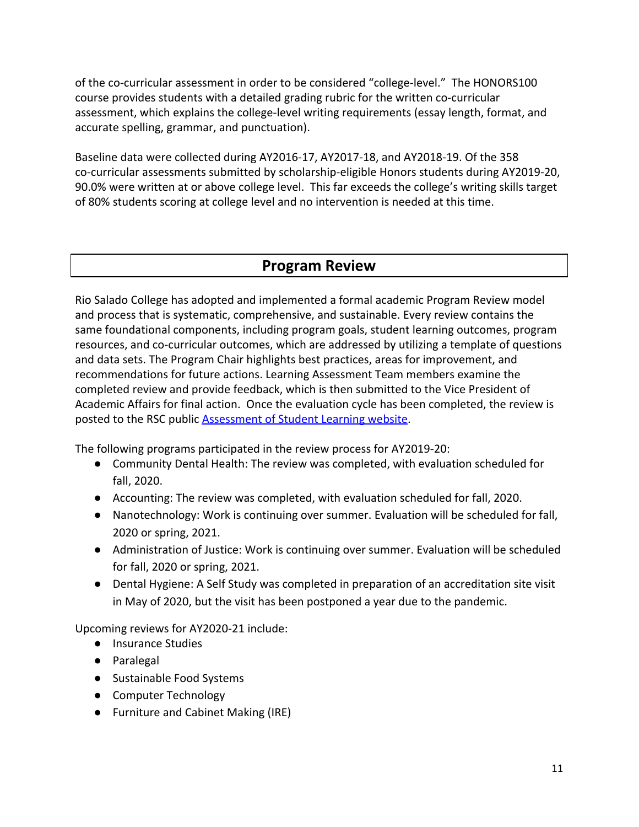of the co-curricular assessment in order to be considered "college-level." The HONORS100 course provides students with a detailed grading rubric for the written co-curricular assessment, which explains the college-level writing requirements (essay length, format, and accurate spelling, grammar, and punctuation).

Baseline data were collected during AY2016-17, AY2017-18, and AY2018-19. Of the 358 co-curricular assessments submitted by scholarship-eligible Honors students during AY2019-20, 90.0% were written at or above college level. This far exceeds the college's writing skills target of 80% students scoring at college level and no intervention is needed at this time.

## **Program Review**

Rio Salado College has adopted and implemented a formal academic Program Review model and process that is systematic, comprehensive, and sustainable. Every review contains the same foundational components, including program goals, student learning outcomes, program resources, and co-curricular outcomes, which are addressed by utilizing a template of questions and data sets. The Program Chair highlights best practices, areas for improvement, and recommendations for future actions. Learning Assessment Team members examine the completed review and provide feedback, which is then submitted to the Vice President of Academic Affairs for final action. Once the evaluation cycle has been completed, the review is posted to the RSC public [Assessment of Student Learning website.](https://www.riosalado.edu/about/teaching-and-learning/assessment-student-learning)

The following programs participated in the review process for AY2019-20:

- Community Dental Health: The review was completed, with evaluation scheduled for fall, 2020.
- Accounting: The review was completed, with evaluation scheduled for fall, 2020.
- Nanotechnology: Work is continuing over summer. Evaluation will be scheduled for fall, 2020 or spring, 2021.
- Administration of Justice: Work is continuing over summer. Evaluation will be scheduled for fall, 2020 or spring, 2021.
- Dental Hygiene: A Self Study was completed in preparation of an accreditation site visit in May of 2020, but the visit has been postponed a year due to the pandemic.

Upcoming reviews for AY2020-21 include:

- Insurance Studies
- Paralegal
- Sustainable Food Systems
- Computer Technology
- Furniture and Cabinet Making (IRE)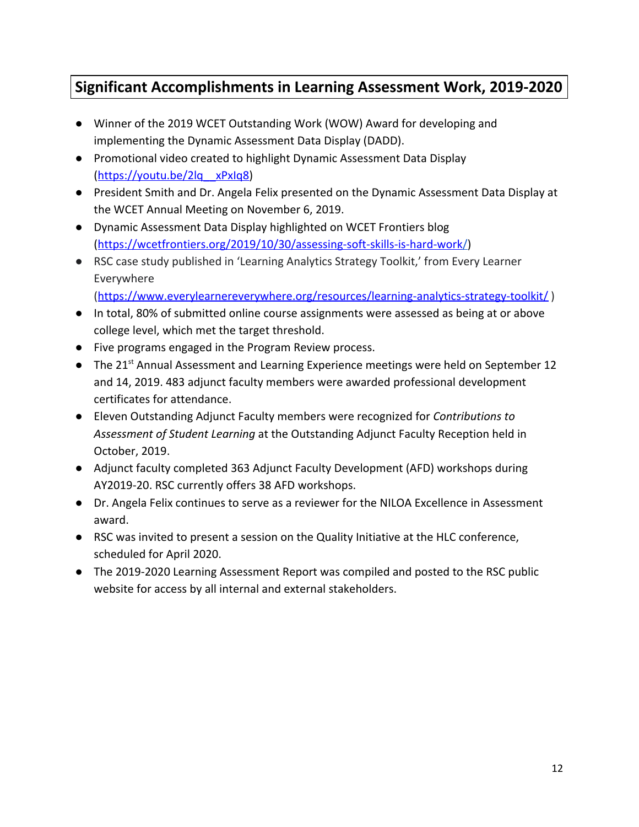# **Significant Accomplishments in Learning Assessment Work, 2019-2020**

- Winner of the 2019 WCET Outstanding Work (WOW) Award for developing and implementing the Dynamic Assessment Data Display (DADD).
- Promotional video created to highlight Dynamic Assessment Data Display ([https://youtu.be/2lq\\_\\_xPxIq8\)](https://youtu.be/2lq__xPxIq8)
- President Smith and Dr. Angela Felix presented on the Dynamic Assessment Data Display at the WCET Annual Meeting on November 6, 2019.
- Dynamic Assessment Data Display highlighted on WCET Frontiers blog (<https://wcetfrontiers.org/2019/10/30/assessing-soft-skills-is-hard-work/>)
- RSC case study published in 'Learning Analytics Strategy Toolkit,' from Every Learner Everywhere

(<https://www.everylearnereverywhere.org/resources/learning-analytics-strategy-toolkit/>)

- In total, 80% of submitted online course assignments were assessed as being at or above college level, which met the target threshold.
- Five programs engaged in the Program Review process.
- The 21<sup>st</sup> Annual Assessment and Learning Experience meetings were held on September 12 and 14, 2019. 483 adjunct faculty members were awarded professional development certificates for attendance.
- Eleven Outstanding Adjunct Faculty members were recognized for *Contributions to Assessment of Student Learning* at the Outstanding Adjunct Faculty Reception held in October, 2019.
- Adjunct faculty completed 363 Adjunct Faculty Development (AFD) workshops during AY2019-20. RSC currently offers 38 AFD workshops.
- Dr. Angela Felix continues to serve as a reviewer for the NILOA Excellence in Assessment award.
- RSC was invited to present a session on the Quality Initiative at the HLC conference, scheduled for April 2020.
- The 2019-2020 Learning Assessment Report was compiled and posted to the RSC public website for access by all internal and external stakeholders.